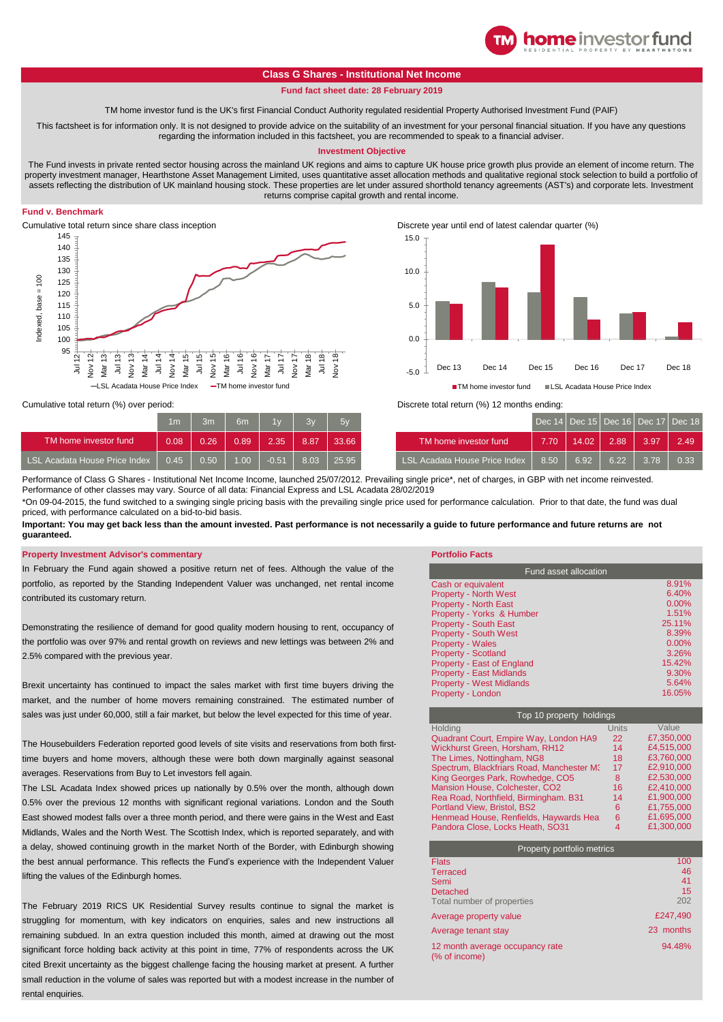# **Class G Shares - Institutional Net Income**

### **Fund fact sheet date: 28 February 2019**

TM home investor fund is the UK's first Financial Conduct Authority regulated residential Property Authorised Investment Fund (PAIF)

This factsheet is for information only. It is not designed to provide advice on the suitability of an investment for your personal financial situation. If you have any questions regarding the information included in this factsheet, you are recommended to speak to a financial adviser.

#### **Investment Objective**

The Fund invests in private rented sector housing across the mainland UK regions and aims to capture UK house price growth plus provide an element of income return. The property investment manager, Hearthstone Asset Management Limited, uses quantitative asset allocation methods and qualitative regional stock selection to build a portfolio of assets reflecting the distribution of UK mainland housing stock. These properties are let under assured shorthold tenancy agreements (AST's) and corporate lets. Investment returns comprise capital growth and rental income.

## **Fund v. Benchmark**





**home** investor fund

Cumulative total return (%) over period:

|                               | 1 <sub>m</sub> | 3 <sub>m</sub>    | 6m   | 1w      | 3v   | $-5v$ |                               |
|-------------------------------|----------------|-------------------|------|---------|------|-------|-------------------------------|
| TM home investor fund         | 0.08           | 0.26              | 0.89 | 2.35'   | 8.87 | 33.66 | TM home investor fund         |
| LSL Acadata House Price Index | 0.45           | 0.50 <sub>1</sub> | 1.00 | $-0.51$ | 8.03 | 25.95 | LSL Acadata House Price Index |

Discrete total return (%) 12 months ending:

| 1 <sub>m</sub> | 3m   | 6m                | 1v      | <b>RW</b> | 5y    |                               |      | Dec 14 Dec 15 Dec 16 Dec 17 Dec 18 |      |      |      |
|----------------|------|-------------------|---------|-----------|-------|-------------------------------|------|------------------------------------|------|------|------|
| 0.08           | 0.26 | 0.89              | 2.35    | 8.87      | 33.66 | TM home investor fund         | 7.70 | 14.02                              | 2.88 | 3.97 | 2.49 |
| 0.45           | 0.50 | 1.00 <sub>1</sub> | $-0.51$ | 8.03      | 25.95 | LSL Acadata House Price Index | 8.50 | 6.92                               | 6.22 | 378  | 0.33 |

Performance of Class G Shares - Institutional Net Income Income, launched 25/07/2012. Prevailing single price\*, net of charges, in GBP with net income reinvested. Performance of other classes may vary. Source of all data: Financial Express and LSL Acadata 28/02/2019

\*On 09-04-2015, the fund switched to a swinging single pricing basis with the prevailing single price used for performance calculation. Prior to that date, the fund was dual priced, with performance calculated on a bid-to-bid basis.

**Important: You may get back less than the amount invested. Past performance is not necessarily a guide to future performance and future returns are not guaranteed.** 

#### **Property Investment Advisor's commentary Portfolio Facts**

In February the Fund again showed a positive return net of fees. Although the value of the portfolio, as reported by the Standing Independent Valuer was unchanged, net rental income contributed its customary return.

Demonstrating the resilience of demand for good quality modern housing to rent, occupancy of the portfolio was over 97% and rental growth on reviews and new lettings was between 2% and 2.5% compared with the previous year.

Brexit uncertainty has continued to impact the sales market with first time buyers driving the market, and the number of home movers remaining constrained. The estimated number of sales was just under 60,000, still a fair market, but below the level expected for this time of year.

The Housebuilders Federation reported good levels of site visits and reservations from both firsttime buyers and home movers, although these were both down marginally against seasonal averages. Reservations from Buy to Let investors fell again.

The LSL Acadata Index showed prices up nationally by 0.5% over the month, although down 0.5% over the previous 12 months with significant regional variations. London and the South East showed modest falls over a three month period, and there were gains in the West and East Midlands, Wales and the North West. The Scottish Index, which is reported separately, and with a delay, showed continuing growth in the market North of the Border, with Edinburgh showing the best annual performance. This reflects the Fund's experience with the Independent Valuer lifting the values of the Edinburgh homes.

The February 2019 RICS UK Residential Survey results continue to signal the market is struggling for momentum, with key indicators on enquiries, sales and new instructions all remaining subdued. In an extra question included this month, aimed at drawing out the most significant force holding back activity at this point in time, 77% of respondents across the UK cited Brexit uncertainty as the biggest challenge facing the housing market at present. A further small reduction in the volume of sales was reported but with a modest increase in the number of rental enquiries

| <b>Fund asset allocation</b>    |          |  |  |  |
|---------------------------------|----------|--|--|--|
| Cash or equivalent              | 8.91%    |  |  |  |
| <b>Property - North West</b>    | 6.40%    |  |  |  |
| <b>Property - North East</b>    | $0.00\%$ |  |  |  |
| Property - Yorks & Humber       | 1.51%    |  |  |  |
| <b>Property - South East</b>    | 25 11%   |  |  |  |
| <b>Property - South West</b>    | 8.39%    |  |  |  |
| <b>Property - Wales</b>         | $0.00\%$ |  |  |  |
| <b>Property - Scotland</b>      | 3.26%    |  |  |  |
| Property - East of England      | 15.42%   |  |  |  |
| <b>Property - East Midlands</b> | 9.30%    |  |  |  |
| <b>Property - West Midlands</b> | 5.64%    |  |  |  |
| <b>Property - London</b>        | 16.05%   |  |  |  |

| Top 10 property holdings                  |       |            |  |  |  |  |
|-------------------------------------------|-------|------------|--|--|--|--|
| Holdina                                   | Units | Value      |  |  |  |  |
| Quadrant Court, Empire Way, London HA9    | 22    | £7.350.000 |  |  |  |  |
| Wickhurst Green, Horsham, RH12            | 14    | £4.515.000 |  |  |  |  |
| The Limes, Nottingham, NG8                | 18    | £3.760.000 |  |  |  |  |
| Spectrum, Blackfriars Road, Manchester M3 | 17    | £2.910.000 |  |  |  |  |
| King Georges Park, Rowhedge, CO5          | 8     | £2.530.000 |  |  |  |  |
| Mansion House, Colchester, CO2            | 16    | £2.410.000 |  |  |  |  |
| Rea Road, Northfield, Birmingham. B31     | 14    | £1.900.000 |  |  |  |  |
| <b>Portland View, Bristol, BS2</b>        | 6     | £1.755.000 |  |  |  |  |
| Henmead House, Renfields, Haywards Heat   | 6     | £1.695.000 |  |  |  |  |
| Pandora Close, Locks Heath, SO31          |       | £1,300,000 |  |  |  |  |

| Property portfolio metrics                       |           |  |  |  |
|--------------------------------------------------|-----------|--|--|--|
| <b>Flats</b>                                     | 100       |  |  |  |
| <b>Terraced</b>                                  | 46        |  |  |  |
| Semi                                             | 41        |  |  |  |
| <b>Detached</b>                                  | 15        |  |  |  |
| Total number of properties                       | 202       |  |  |  |
| Average property value                           | £247.490  |  |  |  |
| Average tenant stay                              | 23 months |  |  |  |
| 12 month average occupancy rate<br>(% of income) | 94.48%    |  |  |  |